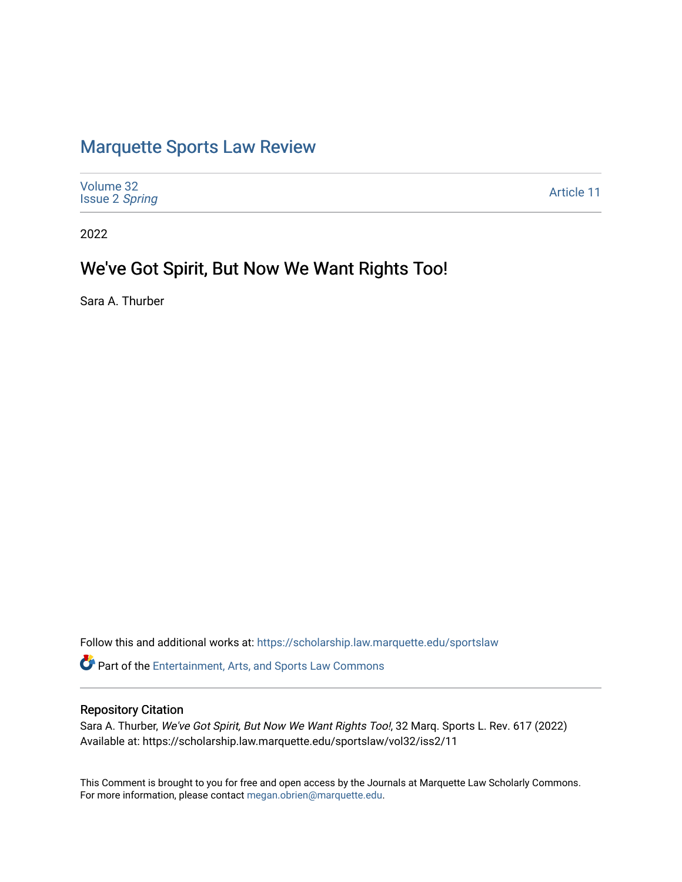# [Marquette Sports Law Review](https://scholarship.law.marquette.edu/sportslaw)

| Volume 32<br><b>Issue 2 Spring</b> | Article 11 |
|------------------------------------|------------|
|------------------------------------|------------|

2022

## We've Got Spirit, But Now We Want Rights Too!

Sara A. Thurber

Follow this and additional works at: [https://scholarship.law.marquette.edu/sportslaw](https://scholarship.law.marquette.edu/sportslaw?utm_source=scholarship.law.marquette.edu%2Fsportslaw%2Fvol32%2Fiss2%2F11&utm_medium=PDF&utm_campaign=PDFCoverPages)  **P** Part of the [Entertainment, Arts, and Sports Law Commons](https://network.bepress.com/hgg/discipline/893?utm_source=scholarship.law.marquette.edu%2Fsportslaw%2Fvol32%2Fiss2%2F11&utm_medium=PDF&utm_campaign=PDFCoverPages)

## Repository Citation

Sara A. Thurber, We've Got Spirit, But Now We Want Rights Too!, 32 Marq. Sports L. Rev. 617 (2022) Available at: https://scholarship.law.marquette.edu/sportslaw/vol32/iss2/11

This Comment is brought to you for free and open access by the Journals at Marquette Law Scholarly Commons. For more information, please contact [megan.obrien@marquette.edu](mailto:megan.obrien@marquette.edu).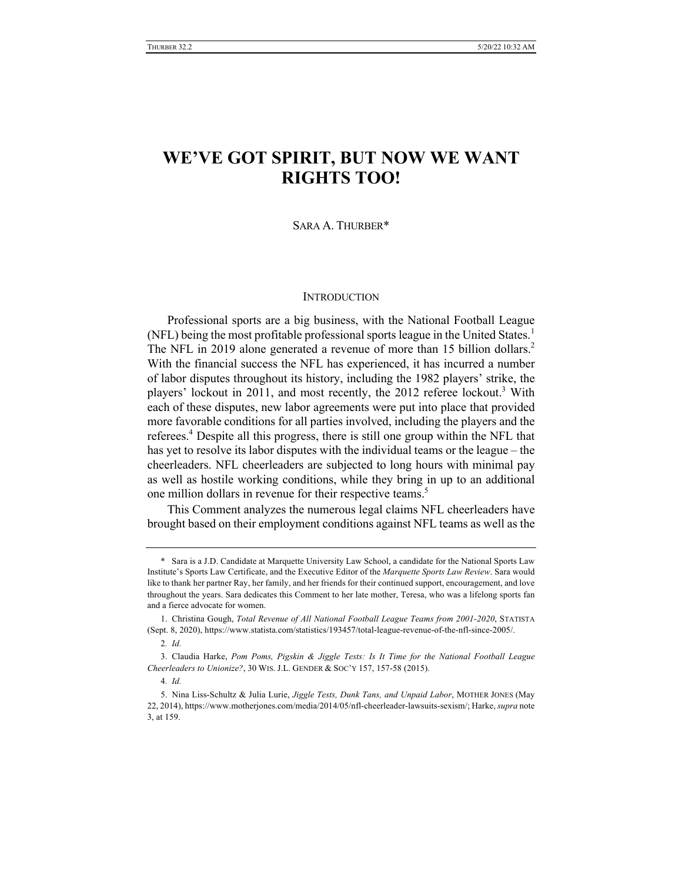## **WE'VE GOT SPIRIT, BUT NOW WE WANT RIGHTS TOO!**

### SARA A. THURBER\*

### **INTRODUCTION**

Professional sports are a big business, with the National Football League (NFL) being the most profitable professional sports league in the United States.<sup>1</sup> The NFL in 2019 alone generated a revenue of more than 15 billion dollars.<sup>2</sup> With the financial success the NFL has experienced, it has incurred a number of labor disputes throughout its history, including the 1982 players' strike, the players' lockout in 2011, and most recently, the 2012 referee lockout.<sup>3</sup> With each of these disputes, new labor agreements were put into place that provided more favorable conditions for all parties involved, including the players and the referees.<sup>4</sup> Despite all this progress, there is still one group within the NFL that has yet to resolve its labor disputes with the individual teams or the league – the cheerleaders. NFL cheerleaders are subjected to long hours with minimal pay as well as hostile working conditions, while they bring in up to an additional one million dollars in revenue for their respective teams.<sup>5</sup>

This Comment analyzes the numerous legal claims NFL cheerleaders have brought based on their employment conditions against NFL teams as well as the

<sup>\*</sup> Sara is a J.D. Candidate at Marquette University Law School, a candidate for the National Sports Law Institute's Sports Law Certificate, and the Executive Editor of the *Marquette Sports Law Review*. Sara would like to thank her partner Ray, her family, and her friends for their continued support, encouragement, and love throughout the years. Sara dedicates this Comment to her late mother, Teresa, who was a lifelong sports fan and a fierce advocate for women.

<sup>1.</sup> Christina Gough, *Total Revenue of All National Football League Teams from 2001-2020*, STATISTA (Sept. 8, 2020), https://www.statista.com/statistics/193457/total-league-revenue-of-the-nfl-since-2005/.

<sup>2</sup>*. Id.*

<sup>3.</sup> Claudia Harke, *Pom Poms, Pigskin & Jiggle Tests: Is It Time for the National Football League Cheerleaders to Unionize?*, 30 WIS. J.L. GENDER & SOC'Y 157, 157-58 (2015).

<sup>4</sup>*. Id.*

<sup>5.</sup> Nina Liss-Schultz & Julia Lurie, *Jiggle Tests, Dunk Tans, and Unpaid Labor*, MOTHER JONES (May 22, 2014), https://www.motherjones.com/media/2014/05/nfl-cheerleader-lawsuits-sexism/; Harke, *supra* note 3, at 159.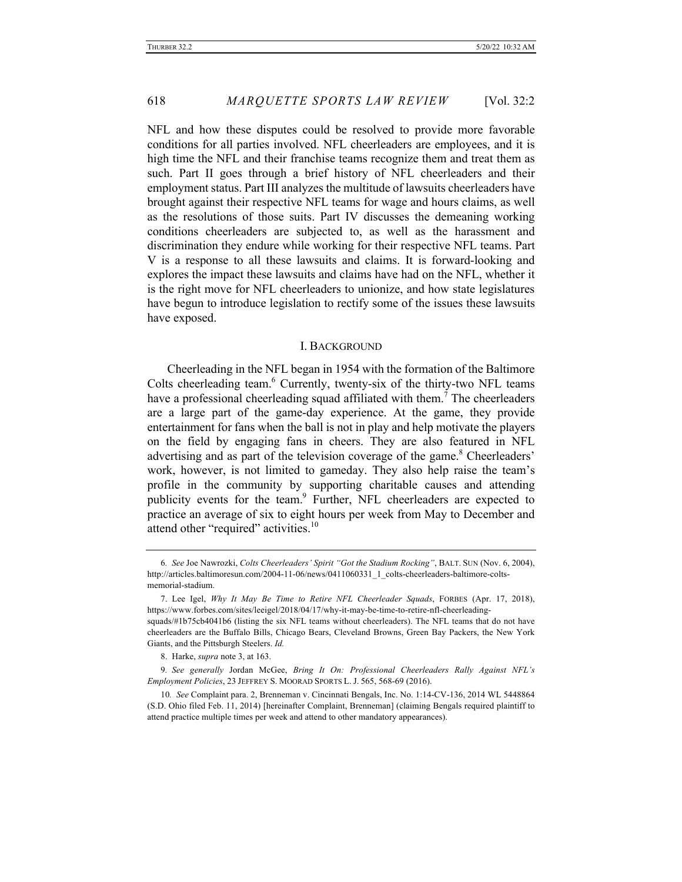NFL and how these disputes could be resolved to provide more favorable conditions for all parties involved. NFL cheerleaders are employees, and it is high time the NFL and their franchise teams recognize them and treat them as such. Part II goes through a brief history of NFL cheerleaders and their employment status. Part III analyzes the multitude of lawsuits cheerleaders have brought against their respective NFL teams for wage and hours claims, as well as the resolutions of those suits. Part IV discusses the demeaning working conditions cheerleaders are subjected to, as well as the harassment and discrimination they endure while working for their respective NFL teams. Part V is a response to all these lawsuits and claims. It is forward-looking and explores the impact these lawsuits and claims have had on the NFL, whether it is the right move for NFL cheerleaders to unionize, and how state legislatures have begun to introduce legislation to rectify some of the issues these lawsuits have exposed.

#### I. BACKGROUND

Cheerleading in the NFL began in 1954 with the formation of the Baltimore Colts cheerleading team.<sup>6</sup> Currently, twenty-six of the thirty-two NFL teams have a professional cheerleading squad affiliated with them.<sup>7</sup> The cheerleaders are a large part of the game-day experience. At the game, they provide entertainment for fans when the ball is not in play and help motivate the players on the field by engaging fans in cheers. They are also featured in NFL advertising and as part of the television coverage of the game.<sup>8</sup> Cheerleaders' work, however, is not limited to gameday. They also help raise the team's profile in the community by supporting charitable causes and attending publicity events for the team.<sup>9</sup> Further, NFL cheerleaders are expected to practice an average of six to eight hours per week from May to December and attend other "required" activities.<sup>10</sup>

<sup>6</sup>*. See* Joe Nawrozki, *Colts Cheerleaders' Spirit "Got the Stadium Rocking"*, BALT. SUN (Nov. 6, 2004), http://articles.baltimoresun.com/2004-11-06/news/0411060331\_1\_colts-cheerleaders-baltimore-coltsmemorial-stadium.

<sup>7.</sup> Lee Igel, *Why It May Be Time to Retire NFL Cheerleader Squads*, FORBES (Apr. 17, 2018), https://www.forbes.com/sites/leeigel/2018/04/17/why-it-may-be-time-to-retire-nfl-cheerleadingsquads/#1b75cb4041b6 (listing the six NFL teams without cheerleaders). The NFL teams that do not have cheerleaders are the Buffalo Bills, Chicago Bears, Cleveland Browns, Green Bay Packers, the New York Giants, and the Pittsburgh Steelers. *Id.*

<sup>8.</sup> Harke, *supra* note 3, at 163.

<sup>9</sup>*. See generally* Jordan McGee, *Bring It On: Professional Cheerleaders Rally Against NFL's Employment Policies*, 23 JEFFREY S. MOORAD SPORTS L. J. 565, 568-69 (2016).

<sup>10</sup>*. See* Complaint para. 2, Brenneman v. Cincinnati Bengals, Inc. No. 1:14-CV-136, 2014 WL 5448864 (S.D. Ohio filed Feb. 11, 2014) [hereinafter Complaint, Brenneman] (claiming Bengals required plaintiff to attend practice multiple times per week and attend to other mandatory appearances).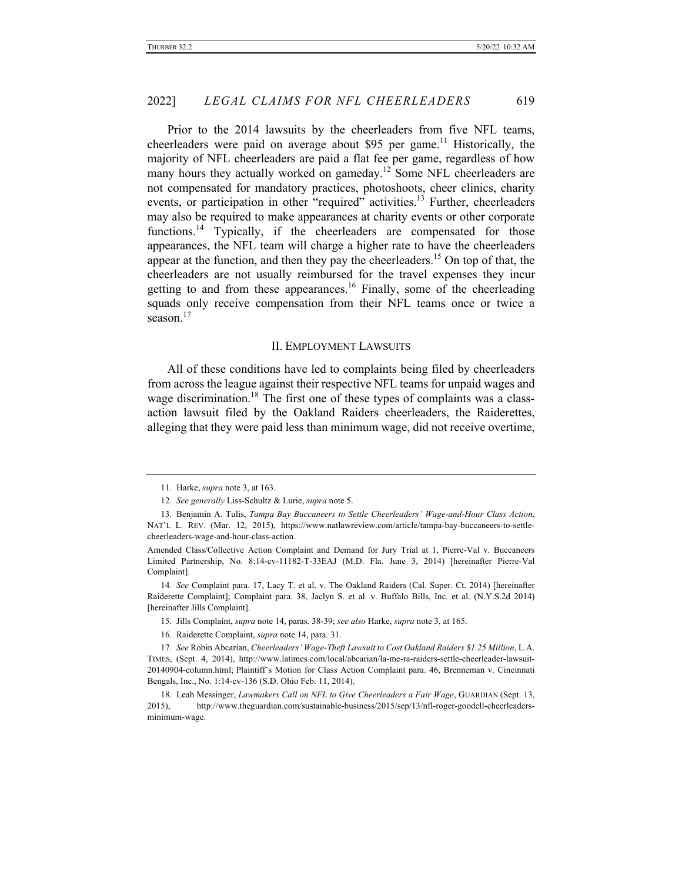Prior to the 2014 lawsuits by the cheerleaders from five NFL teams, cheerleaders were paid on average about \$95 per game.<sup>11</sup> Historically, the majority of NFL cheerleaders are paid a flat fee per game, regardless of how many hours they actually worked on gameday.<sup>12</sup> Some NFL cheerleaders are not compensated for mandatory practices, photoshoots, cheer clinics, charity events, or participation in other "required" activities.<sup>13</sup> Further, cheerleaders may also be required to make appearances at charity events or other corporate functions.<sup>14</sup> Typically, if the cheerleaders are compensated for those appearances, the NFL team will charge a higher rate to have the cheerleaders appear at the function, and then they pay the cheerleaders.<sup>15</sup> On top of that, the cheerleaders are not usually reimbursed for the travel expenses they incur getting to and from these appearances.<sup>16</sup> Finally, some of the cheerleading squads only receive compensation from their NFL teams once or twice a season. $17$ 

#### II. EMPLOYMENT LAWSUITS

All of these conditions have led to complaints being filed by cheerleaders from across the league against their respective NFL teams for unpaid wages and wage discrimination.<sup>18</sup> The first one of these types of complaints was a classaction lawsuit filed by the Oakland Raiders cheerleaders, the Raiderettes, alleging that they were paid less than minimum wage, did not receive overtime,

- 15. Jills Complaint, *supra* note 14, paras. 38-39; *see also* Harke, *supra* note 3, at 165.
- 16. Raiderette Complaint, *supra* note 14, para. 31.

<sup>11.</sup> Harke, *supra* note 3, at 163.

<sup>12</sup>*. See generally* Liss-Schultz & Lurie, *supra* note 5.

<sup>13.</sup> Benjamin A. Tulis, *Tampa Bay Buccaneers to Settle Cheerleaders' Wage-and-Hour Class Action*, NAT'L L. REV. (Mar. 12, 2015), https://www.natlawreview.com/article/tampa-bay-buccaneers-to-settlecheerleaders-wage-and-hour-class-action.

Amended Class/Collective Action Complaint and Demand for Jury Trial at 1, Pierre-Val v. Buccaneers Limited Partnership, No. 8:14-cv-11182-T-33EAJ (M.D. Fla. June 3, 2014) [hereinafter Pierre-Val Complaint].

<sup>14</sup>*. See* Complaint para. 17, Lacy T. et al. v. The Oakland Raiders (Cal. Super. Ct. 2014) [hereinafter Raiderette Complaint]; Complaint para. 38, Jaclyn S. et al. v. Buffalo Bills, Inc. et al. (N.Y.S.2d 2014) [hereinafter Jills Complaint].

<sup>17</sup>*. See* Robin Abcarian, *Cheerleaders' Wage-Theft Lawsuit to Cost Oakland Raiders \$1.25 Million*, L.A. TIMES, (Sept. 4, 2014), http://www.latimes.com/local/abcarian/la-me-ra-raiders-settle-cheerleader-lawsuit-20140904-column.html; Plaintiff's Motion for Class Action Complaint para. 46, Brenneman v. Cincinnati Bengals, Inc., No. 1:14-cv-136 (S.D. Ohio Feb. 11, 2014).

<sup>18.</sup> Leah Messinger, *Lawmakers Call on NFL to Give Cheerleaders a Fair Wage*, GUARDIAN (Sept. 13, 2015), http://www.theguardian.com/sustainable-business/2015/sep/13/nfl-roger-goodell-cheerleadersminimum-wage.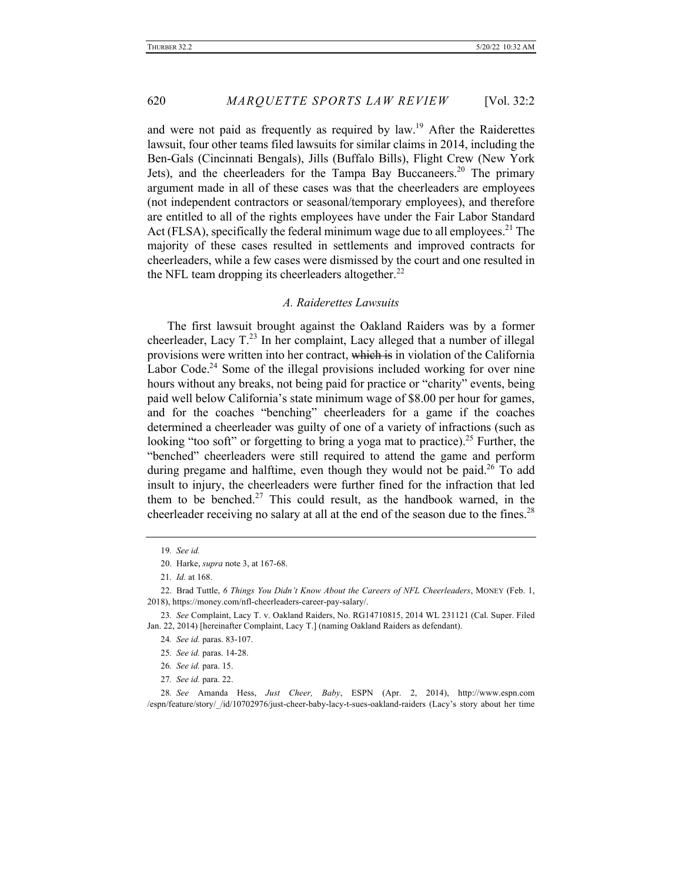and were not paid as frequently as required by law.<sup>19</sup> After the Raiderettes lawsuit, four other teams filed lawsuits for similar claims in 2014, including the Ben-Gals (Cincinnati Bengals), Jills (Buffalo Bills), Flight Crew (New York Jets), and the cheerleaders for the Tampa Bay Buccaneers.<sup>20</sup> The primary argument made in all of these cases was that the cheerleaders are employees (not independent contractors or seasonal/temporary employees), and therefore are entitled to all of the rights employees have under the Fair Labor Standard Act (FLSA), specifically the federal minimum wage due to all employees.<sup>21</sup> The majority of these cases resulted in settlements and improved contracts for cheerleaders, while a few cases were dismissed by the court and one resulted in the NFL team dropping its cheerleaders altogether.<sup>22</sup>

## *A. Raiderettes Lawsuits*

The first lawsuit brought against the Oakland Raiders was by a former cheerleader, Lacy  $T^{23}$  In her complaint, Lacy alleged that a number of illegal provisions were written into her contract, which is in violation of the California Labor Code.<sup>24</sup> Some of the illegal provisions included working for over nine hours without any breaks, not being paid for practice or "charity" events, being paid well below California's state minimum wage of \$8.00 per hour for games, and for the coaches "benching" cheerleaders for a game if the coaches determined a cheerleader was guilty of one of a variety of infractions (such as looking "too soft" or forgetting to bring a yoga mat to practice).<sup>25</sup> Further, the "benched" cheerleaders were still required to attend the game and perform during pregame and halftime, even though they would not be paid.<sup>26</sup> To add insult to injury, the cheerleaders were further fined for the infraction that led them to be benched.<sup>27</sup> This could result, as the handbook warned, in the cheerleader receiving no salary at all at the end of the season due to the fines.<sup>28</sup>

<sup>19</sup>*. See id.*

<sup>20.</sup> Harke, *supra* note 3, at 167-68.

<sup>21</sup>*. Id.* at 168.

<sup>22.</sup> Brad Tuttle, *6 Things You Didn't Know About the Careers of NFL Cheerleaders*, MONEY (Feb. 1, 2018), https://money.com/nfl-cheerleaders-career-pay-salary/.

<sup>23</sup>*. See* Complaint, Lacy T. v. Oakland Raiders, No. RG14710815, 2014 WL 231121 (Cal. Super. Filed Jan. 22, 2014) [hereinafter Complaint, Lacy T.] (naming Oakland Raiders as defendant).

<sup>24</sup>*. See id.* paras. 83-107.

<sup>25</sup>*. See id.* paras. 14-28.

<sup>26</sup>*. See id.* para. 15.

<sup>27</sup>*. See id.* para. 22.

<sup>28</sup>*. See* Amanda Hess, *Just Cheer, Baby*, ESPN (Apr. 2, 2014), http://www.espn.com /espn/feature/story/\_/id/10702976/just-cheer-baby-lacy-t-sues-oakland-raiders (Lacy's story about her time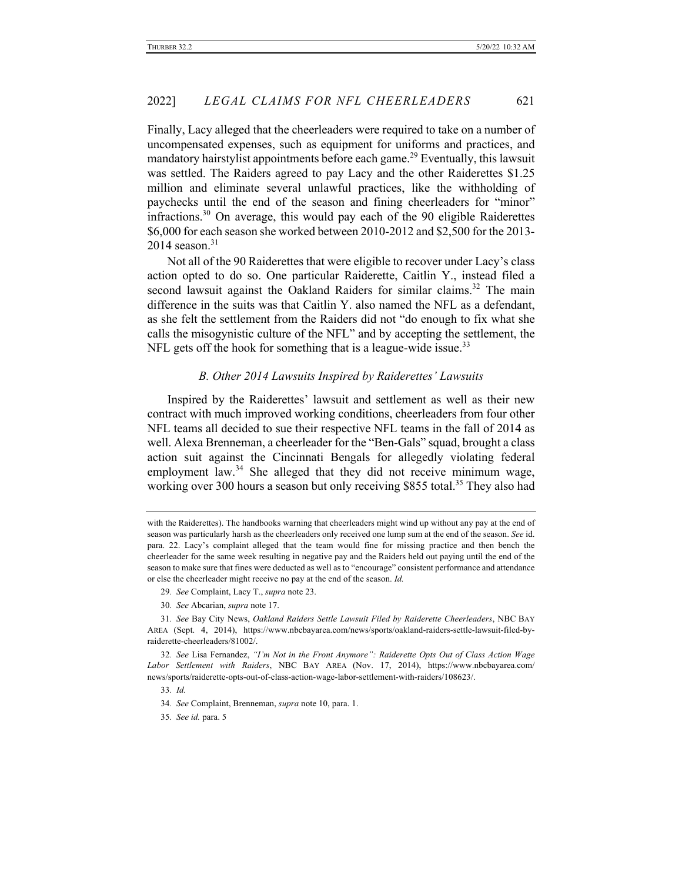Finally, Lacy alleged that the cheerleaders were required to take on a number of uncompensated expenses, such as equipment for uniforms and practices, and mandatory hairstylist appointments before each game.<sup>29</sup> Eventually, this lawsuit was settled. The Raiders agreed to pay Lacy and the other Raiderettes \$1.25 million and eliminate several unlawful practices, like the withholding of paychecks until the end of the season and fining cheerleaders for "minor" infractions.<sup>30</sup> On average, this would pay each of the 90 eligible Raiderettes \$6,000 for each season she worked between 2010-2012 and \$2,500 for the 2013-  $2014$  season.<sup>31</sup>

Not all of the 90 Raiderettes that were eligible to recover under Lacy's class action opted to do so. One particular Raiderette, Caitlin Y., instead filed a second lawsuit against the Oakland Raiders for similar claims.<sup>32</sup> The main difference in the suits was that Caitlin Y. also named the NFL as a defendant, as she felt the settlement from the Raiders did not "do enough to fix what she calls the misogynistic culture of the NFL" and by accepting the settlement, the NFL gets off the hook for something that is a league-wide issue.<sup>33</sup>

#### *B. Other 2014 Lawsuits Inspired by Raiderettes' Lawsuits*

Inspired by the Raiderettes' lawsuit and settlement as well as their new contract with much improved working conditions, cheerleaders from four other NFL teams all decided to sue their respective NFL teams in the fall of 2014 as well. Alexa Brenneman, a cheerleader for the "Ben-Gals" squad, brought a class action suit against the Cincinnati Bengals for allegedly violating federal employment law.<sup>34</sup> She alleged that they did not receive minimum wage, working over 300 hours a season but only receiving \$855 total.<sup>35</sup> They also had

- 29*. See* Complaint, Lacy T., *supra* note 23.
- 30*. See* Abcarian, *supra* note 17.

with the Raiderettes). The handbooks warning that cheerleaders might wind up without any pay at the end of season was particularly harsh as the cheerleaders only received one lump sum at the end of the season. *See* id. para. 22. Lacy's complaint alleged that the team would fine for missing practice and then bench the cheerleader for the same week resulting in negative pay and the Raiders held out paying until the end of the season to make sure that fines were deducted as well as to "encourage" consistent performance and attendance or else the cheerleader might receive no pay at the end of the season. *Id.* 

<sup>31</sup>*. See* Bay City News, *Oakland Raiders Settle Lawsuit Filed by Raiderette Cheerleaders*, NBC BAY AREA (Sept. 4, 2014), https://www.nbcbayarea.com/news/sports/oakland-raiders-settle-lawsuit-filed-byraiderette-cheerleaders/81002/.

<sup>32</sup>*. See* Lisa Fernandez, *"I'm Not in the Front Anymore": Raiderette Opts Out of Class Action Wage Labor Settlement with Raiders*, NBC BAY AREA (Nov. 17, 2014), https://www.nbcbayarea.com/ news/sports/raiderette-opts-out-of-class-action-wage-labor-settlement-with-raiders/108623/.

<sup>33</sup>*. Id.*

<sup>34</sup>*. See* Complaint, Brenneman, *supra* note 10, para. 1.

<sup>35</sup>*. See id.* para. 5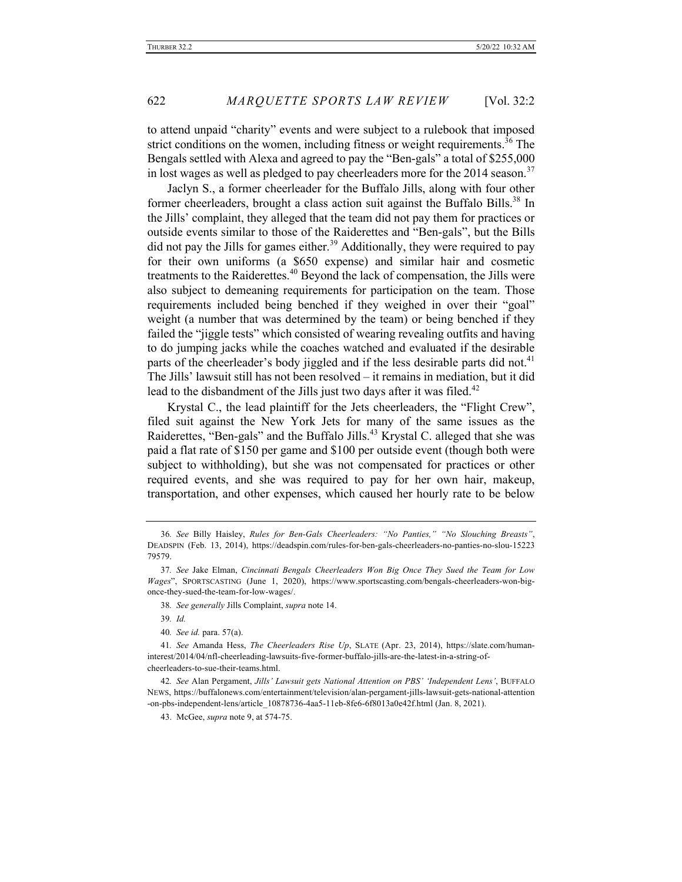to attend unpaid "charity" events and were subject to a rulebook that imposed strict conditions on the women, including fitness or weight requirements.<sup>36</sup> The Bengals settled with Alexa and agreed to pay the "Ben-gals" a total of \$255,000 in lost wages as well as pledged to pay cheerleaders more for the  $2014$  season.<sup>37</sup>

Jaclyn S., a former cheerleader for the Buffalo Jills, along with four other former cheerleaders, brought a class action suit against the Buffalo Bills.<sup>38</sup> In the Jills' complaint, they alleged that the team did not pay them for practices or outside events similar to those of the Raiderettes and "Ben-gals", but the Bills did not pay the Jills for games either.<sup>39</sup> Additionally, they were required to pay for their own uniforms (a \$650 expense) and similar hair and cosmetic treatments to the Raiderettes.<sup>40</sup> Beyond the lack of compensation, the Jills were also subject to demeaning requirements for participation on the team. Those requirements included being benched if they weighed in over their "goal" weight (a number that was determined by the team) or being benched if they failed the "jiggle tests" which consisted of wearing revealing outfits and having to do jumping jacks while the coaches watched and evaluated if the desirable parts of the cheerleader's body jiggled and if the less desirable parts did not.<sup>41</sup> The Jills' lawsuit still has not been resolved – it remains in mediation, but it did lead to the disbandment of the Jills just two days after it was filed.<sup>42</sup>

Krystal C., the lead plaintiff for the Jets cheerleaders, the "Flight Crew", filed suit against the New York Jets for many of the same issues as the Raiderettes, "Ben-gals" and the Buffalo Jills.<sup>43</sup> Krystal C. alleged that she was paid a flat rate of \$150 per game and \$100 per outside event (though both were subject to withholding), but she was not compensated for practices or other required events, and she was required to pay for her own hair, makeup, transportation, and other expenses, which caused her hourly rate to be below

38*. See generally* Jills Complaint, *supra* note 14.

39*. Id.*

40*. See id.* para. 57(a).

41*. See* Amanda Hess, *The Cheerleaders Rise Up*, SLATE (Apr. 23, 2014), https://slate.com/humaninterest/2014/04/nfl-cheerleading-lawsuits-five-former-buffalo-jills-are-the-latest-in-a-string-ofcheerleaders-to-sue-their-teams.html.

42*. See* Alan Pergament, *Jills' Lawsuit gets National Attention on PBS' 'Independent Lens'*, BUFFALO NEWS, https://buffalonews.com/entertainment/television/alan-pergament-jills-lawsuit-gets-national-attention -on-pbs-independent-lens/article\_10878736-4aa5-11eb-8fe6-6f8013a0e42f.html (Jan. 8, 2021).

43. McGee, *supra* note 9, at 574-75.

<sup>36</sup>*. See* Billy Haisley, *Rules for Ben-Gals Cheerleaders: "No Panties," "No Slouching Breasts"*, DEADSPIN (Feb. 13, 2014), https://deadspin.com/rules-for-ben-gals-cheerleaders-no-panties-no-slou-15223 79579.

<sup>37</sup>*. See* Jake Elman, *Cincinnati Bengals Cheerleaders Won Big Once They Sued the Team for Low Wages*", SPORTSCASTING (June 1, 2020), https://www.sportscasting.com/bengals-cheerleaders-won-bigonce-they-sued-the-team-for-low-wages/.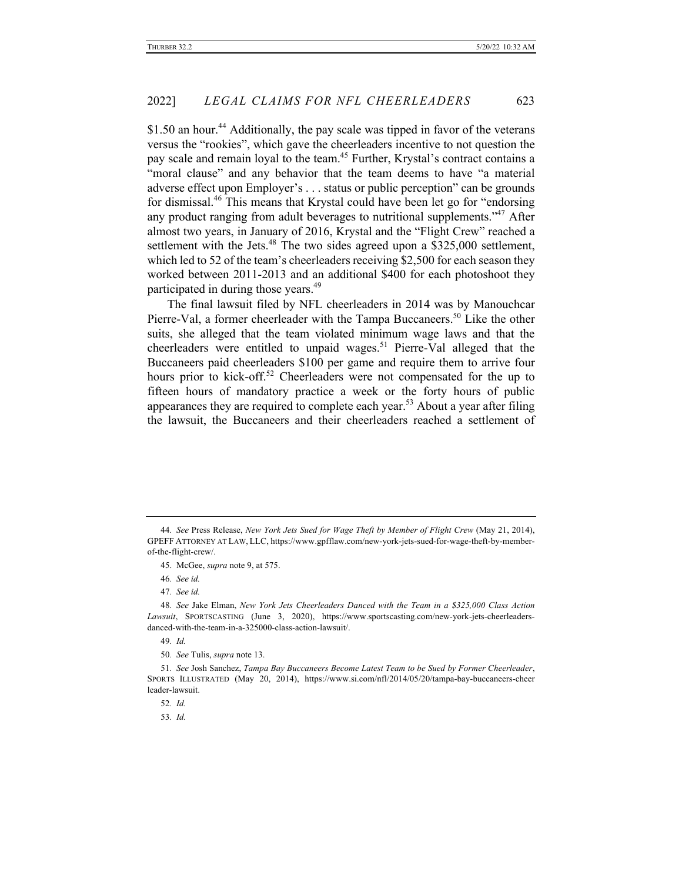\$1.50 an hour.<sup>44</sup> Additionally, the pay scale was tipped in favor of the veterans versus the "rookies", which gave the cheerleaders incentive to not question the pay scale and remain loyal to the team.<sup>45</sup> Further, Krystal's contract contains a "moral clause" and any behavior that the team deems to have "a material adverse effect upon Employer's . . . status or public perception" can be grounds for dismissal.<sup>46</sup> This means that Krystal could have been let go for "endorsing any product ranging from adult beverages to nutritional supplements."<sup>47</sup> After almost two years, in January of 2016, Krystal and the "Flight Crew" reached a settlement with the Jets.<sup>48</sup> The two sides agreed upon a \$325,000 settlement, which led to 52 of the team's cheerleaders receiving \$2,500 for each season they worked between 2011-2013 and an additional \$400 for each photoshoot they participated in during those years.<sup>49</sup>

The final lawsuit filed by NFL cheerleaders in 2014 was by Manouchcar Pierre-Val, a former cheerleader with the Tampa Buccaneers.<sup>50</sup> Like the other suits, she alleged that the team violated minimum wage laws and that the cheerleaders were entitled to unpaid wages.<sup>51</sup> Pierre-Val alleged that the Buccaneers paid cheerleaders \$100 per game and require them to arrive four hours prior to kick-off.<sup>52</sup> Cheerleaders were not compensated for the up to fifteen hours of mandatory practice a week or the forty hours of public appearances they are required to complete each year.<sup>53</sup> About a year after filing the lawsuit, the Buccaneers and their cheerleaders reached a settlement of

53*. Id.*

<sup>44</sup>*. See* Press Release, *New York Jets Sued for Wage Theft by Member of Flight Crew* (May 21, 2014), GPEFF ATTORNEY AT LAW, LLC, https://www.gpfflaw.com/new-york-jets-sued-for-wage-theft-by-memberof-the-flight-crew/.

<sup>45.</sup> McGee, *supra* note 9, at 575.

<sup>46</sup>*. See id.*

<sup>47</sup>*. See id.*

<sup>48</sup>*. See* Jake Elman, *New York Jets Cheerleaders Danced with the Team in a \$325,000 Class Action Lawsuit*, SPORTSCASTING (June 3, 2020), https://www.sportscasting.com/new-york-jets-cheerleadersdanced-with-the-team-in-a-325000-class-action-lawsuit/.

<sup>49</sup>*. Id.*

<sup>50</sup>*. See* Tulis, *supra* note 13.

<sup>51</sup>*. See* Josh Sanchez, *Tampa Bay Buccaneers Become Latest Team to be Sued by Former Cheerleader*, SPORTS ILLUSTRATED (May 20, 2014), https://www.si.com/nfl/2014/05/20/tampa-bay-buccaneers-cheer leader-lawsuit.

<sup>52</sup>*. Id.*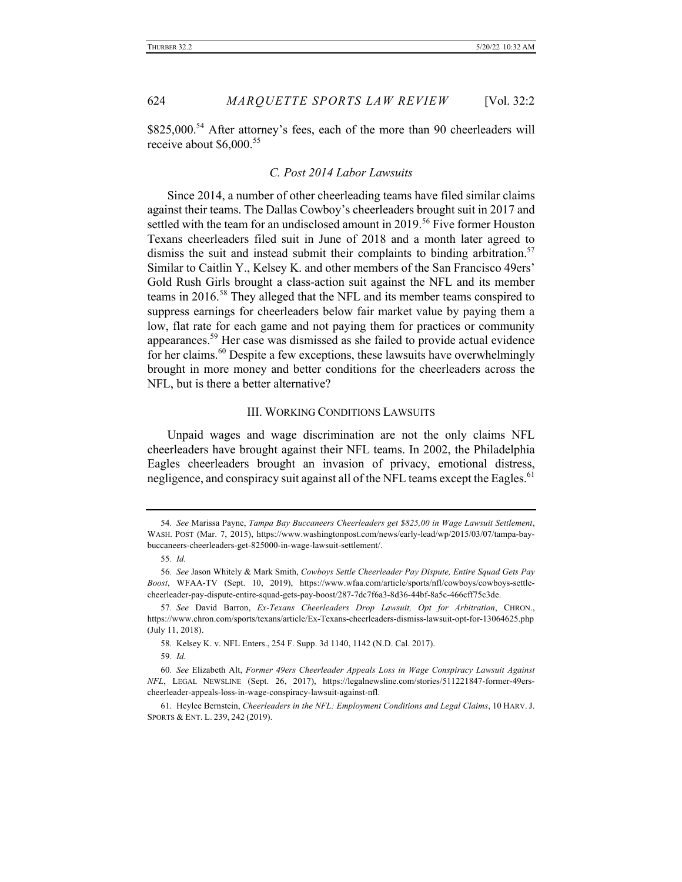\$825,000.<sup>54</sup> After attorney's fees, each of the more than 90 cheerleaders will receive about \$6,000.<sup>55</sup>

## *C. Post 2014 Labor Lawsuits*

Since 2014, a number of other cheerleading teams have filed similar claims against their teams. The Dallas Cowboy's cheerleaders brought suit in 2017 and settled with the team for an undisclosed amount in 2019.<sup>56</sup> Five former Houston Texans cheerleaders filed suit in June of 2018 and a month later agreed to dismiss the suit and instead submit their complaints to binding arbitration.<sup>57</sup> Similar to Caitlin Y., Kelsey K. and other members of the San Francisco 49ers' Gold Rush Girls brought a class-action suit against the NFL and its member teams in 2016.<sup>58</sup> They alleged that the NFL and its member teams conspired to suppress earnings for cheerleaders below fair market value by paying them a low, flat rate for each game and not paying them for practices or community appearances.<sup>59</sup> Her case was dismissed as she failed to provide actual evidence for her claims.<sup>60</sup> Despite a few exceptions, these lawsuits have overwhelmingly brought in more money and better conditions for the cheerleaders across the NFL, but is there a better alternative?

## III. WORKING CONDITIONS LAWSUITS

Unpaid wages and wage discrimination are not the only claims NFL cheerleaders have brought against their NFL teams. In 2002, the Philadelphia Eagles cheerleaders brought an invasion of privacy, emotional distress, negligence, and conspiracy suit against all of the NFL teams except the Eagles.<sup>61</sup>

<sup>54</sup>*. See* Marissa Payne, *Tampa Bay Buccaneers Cheerleaders get \$825,00 in Wage Lawsuit Settlement*, WASH. POST (Mar. 7, 2015), https://www.washingtonpost.com/news/early-lead/wp/2015/03/07/tampa-baybuccaneers-cheerleaders-get-825000-in-wage-lawsuit-settlement/.

<sup>55</sup>*. Id.*

<sup>56</sup>*. See* Jason Whitely & Mark Smith, *Cowboys Settle Cheerleader Pay Dispute, Entire Squad Gets Pay Boost*, WFAA-TV (Sept. 10, 2019), https://www.wfaa.com/article/sports/nfl/cowboys/cowboys-settlecheerleader-pay-dispute-entire-squad-gets-pay-boost/287-7dc7f6a3-8d36-44bf-8a5c-466cff75c3de.

<sup>57</sup>*. See* David Barron, *Ex-Texans Cheerleaders Drop Lawsuit, Opt for Arbitration*, CHRON., https://www.chron.com/sports/texans/article/Ex-Texans-cheerleaders-dismiss-lawsuit-opt-for-13064625.php (July 11, 2018).

<sup>58.</sup> Kelsey K. v. NFL Enters., 254 F. Supp. 3d 1140, 1142 (N.D. Cal. 2017).

<sup>59</sup>*. Id.*

<sup>60</sup>*. See* Elizabeth Alt, *Former 49ers Cheerleader Appeals Loss in Wage Conspiracy Lawsuit Against NFL*, LEGAL NEWSLINE (Sept. 26, 2017), https://legalnewsline.com/stories/511221847-former-49erscheerleader-appeals-loss-in-wage-conspiracy-lawsuit-against-nfl.

<sup>61.</sup> Heylee Bernstein, *Cheerleaders in the NFL: Employment Conditions and Legal Claims*, 10 HARV. J. SPORTS & ENT. L. 239, 242 (2019).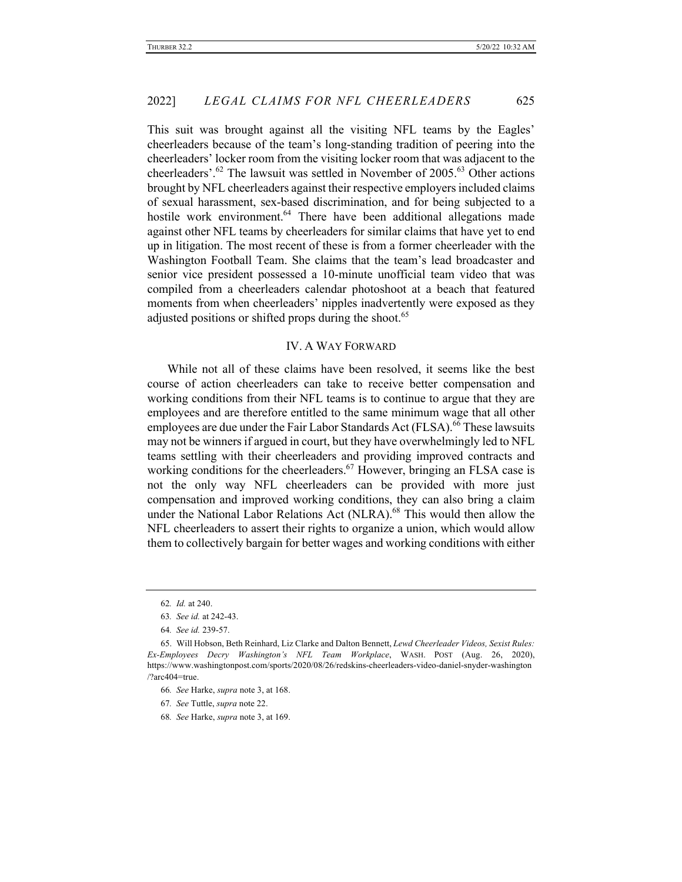This suit was brought against all the visiting NFL teams by the Eagles' cheerleaders because of the team's long-standing tradition of peering into the cheerleaders' locker room from the visiting locker room that was adjacent to the cheerleaders'.<sup>62</sup> The lawsuit was settled in November of  $2005$ .<sup>63</sup> Other actions brought by NFL cheerleaders against their respective employers included claims of sexual harassment, sex-based discrimination, and for being subjected to a hostile work environment.<sup>64</sup> There have been additional allegations made against other NFL teams by cheerleaders for similar claims that have yet to end up in litigation. The most recent of these is from a former cheerleader with the Washington Football Team. She claims that the team's lead broadcaster and senior vice president possessed a 10-minute unofficial team video that was compiled from a cheerleaders calendar photoshoot at a beach that featured moments from when cheerleaders' nipples inadvertently were exposed as they adjusted positions or shifted props during the shoot.<sup>65</sup>

## IV. A WAY FORWARD

While not all of these claims have been resolved, it seems like the best course of action cheerleaders can take to receive better compensation and working conditions from their NFL teams is to continue to argue that they are employees and are therefore entitled to the same minimum wage that all other employees are due under the Fair Labor Standards Act (FLSA).<sup>66</sup> These lawsuits may not be winners if argued in court, but they have overwhelmingly led to NFL teams settling with their cheerleaders and providing improved contracts and working conditions for the cheerleaders.<sup>67</sup> However, bringing an FLSA case is not the only way NFL cheerleaders can be provided with more just compensation and improved working conditions, they can also bring a claim under the National Labor Relations Act (NLRA).<sup>68</sup> This would then allow the NFL cheerleaders to assert their rights to organize a union, which would allow them to collectively bargain for better wages and working conditions with either

<sup>62</sup>*. Id.* at 240.

<sup>63</sup>*. See id.* at 242-43.

<sup>64</sup>*. See id.* 239-57.

<sup>65.</sup> Will Hobson, Beth Reinhard, Liz Clarke and Dalton Bennett, *Lewd Cheerleader Videos, Sexist Rules: Ex-Employees Decry Washington's NFL Team Workplace*, WASH. POST (Aug. 26, 2020), https://www.washingtonpost.com/sports/2020/08/26/redskins-cheerleaders-video-daniel-snyder-washington /?arc404=true.

<sup>66</sup>*. See* Harke, *supra* note 3, at 168.

<sup>67</sup>*. See* Tuttle, *supra* note 22.

<sup>68</sup>*. See* Harke, *supra* note 3, at 169.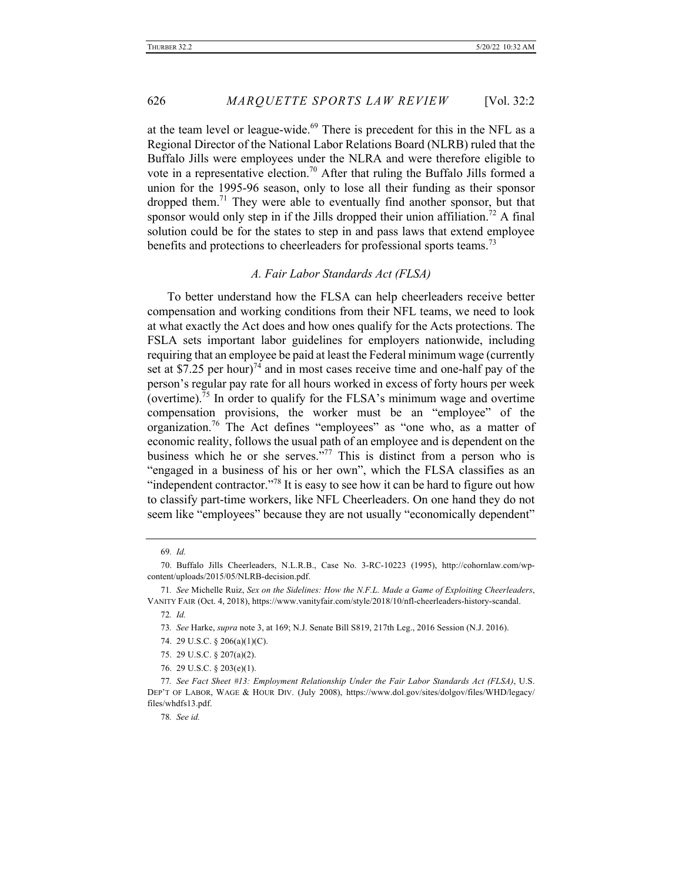at the team level or league-wide.<sup>69</sup> There is precedent for this in the NFL as a Regional Director of the National Labor Relations Board (NLRB) ruled that the Buffalo Jills were employees under the NLRA and were therefore eligible to vote in a representative election.<sup>70</sup> After that ruling the Buffalo Jills formed a union for the 1995-96 season, only to lose all their funding as their sponsor dropped them.<sup>71</sup> They were able to eventually find another sponsor, but that sponsor would only step in if the Jills dropped their union affiliation.<sup>72</sup> A final solution could be for the states to step in and pass laws that extend employee benefits and protections to cheerleaders for professional sports teams.<sup>73</sup>

## *A. Fair Labor Standards Act (FLSA)*

To better understand how the FLSA can help cheerleaders receive better compensation and working conditions from their NFL teams, we need to look at what exactly the Act does and how ones qualify for the Acts protections. The FSLA sets important labor guidelines for employers nationwide, including requiring that an employee be paid at least the Federal minimum wage (currently set at \$7.25 per hour)<sup>74</sup> and in most cases receive time and one-half pay of the person's regular pay rate for all hours worked in excess of forty hours per week (overtime).<sup>75</sup> In order to qualify for the FLSA's minimum wage and overtime compensation provisions, the worker must be an "employee" of the organization.<sup>76</sup> The Act defines "employees" as "one who, as a matter of economic reality, follows the usual path of an employee and is dependent on the business which he or she serves."<sup>77</sup> This is distinct from a person who is "engaged in a business of his or her own", which the FLSA classifies as an "independent contractor."<sup>78</sup> It is easy to see how it can be hard to figure out how to classify part-time workers, like NFL Cheerleaders. On one hand they do not seem like "employees" because they are not usually "economically dependent"

78*. See id.*

<sup>69</sup>*. Id.*

<sup>70.</sup> Buffalo Jills Cheerleaders, N.L.R.B., Case No. 3-RC-10223 (1995), http://cohornlaw.com/wpcontent/uploads/2015/05/NLRB-decision.pdf.

<sup>71</sup>*. See* Michelle Ruiz, *Sex on the Sidelines: How the N.F.L. Made a Game of Exploiting Cheerleaders*, VANITY FAIR (Oct. 4, 2018), https://www.vanityfair.com/style/2018/10/nfl-cheerleaders-history-scandal.

<sup>72</sup>*. Id.*

<sup>73</sup>*. See* Harke, *supra* note 3, at 169; N.J. Senate Bill S819, 217th Leg., 2016 Session (N.J. 2016).

<sup>74.</sup> 29 U.S.C. § 206(a)(1)(C).

<sup>75.</sup> 29 U.S.C. § 207(a)(2).

<sup>76.</sup> 29 U.S.C. § 203(e)(1).

<sup>77</sup>*. See Fact Sheet #13: Employment Relationship Under the Fair Labor Standards Act (FLSA)*, U.S. DEP'T OF LABOR, WAGE & HOUR DIV. (July 2008), https://www.dol.gov/sites/dolgov/files/WHD/legacy/ files/whdfs13.pdf.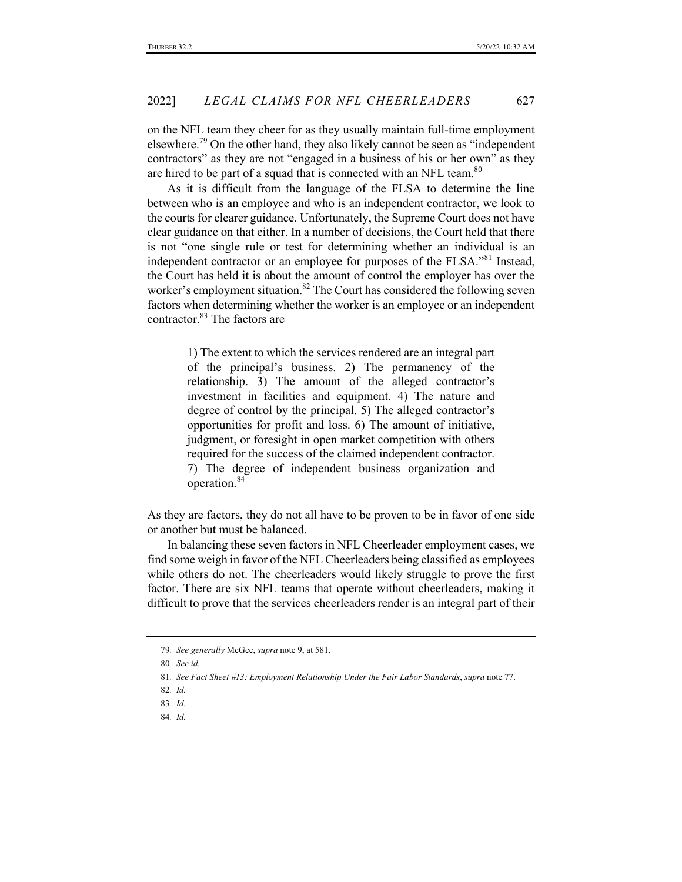on the NFL team they cheer for as they usually maintain full-time employment elsewhere.<sup>79</sup> On the other hand, they also likely cannot be seen as "independent" contractors" as they are not "engaged in a business of his or her own" as they are hired to be part of a squad that is connected with an NFL team.<sup>80</sup>

As it is difficult from the language of the FLSA to determine the line between who is an employee and who is an independent contractor, we look to the courts for clearer guidance. Unfortunately, the Supreme Court does not have clear guidance on that either. In a number of decisions, the Court held that there is not "one single rule or test for determining whether an individual is an independent contractor or an employee for purposes of the FLSA."<sup>81</sup> Instead, the Court has held it is about the amount of control the employer has over the worker's employment situation.<sup>82</sup> The Court has considered the following seven factors when determining whether the worker is an employee or an independent contractor.<sup>83</sup> The factors are

> 1) The extent to which the services rendered are an integral part of the principal's business. 2) The permanency of the relationship. 3) The amount of the alleged contractor's investment in facilities and equipment. 4) The nature and degree of control by the principal. 5) The alleged contractor's opportunities for profit and loss. 6) The amount of initiative, judgment, or foresight in open market competition with others required for the success of the claimed independent contractor. 7) The degree of independent business organization and operation.<sup>84</sup>

As they are factors, they do not all have to be proven to be in favor of one side or another but must be balanced.

In balancing these seven factors in NFL Cheerleader employment cases, we find some weigh in favor of the NFL Cheerleaders being classified as employees while others do not. The cheerleaders would likely struggle to prove the first factor. There are six NFL teams that operate without cheerleaders, making it difficult to prove that the services cheerleaders render is an integral part of their

<sup>79</sup>*. See generally* McGee, *supra* note 9, at 581.

<sup>80</sup>*. See id.*

<sup>81</sup>*. See Fact Sheet #13: Employment Relationship Under the Fair Labor Standards*, *supra* note 77.

<sup>82</sup>*. Id.*

<sup>83</sup>*. Id.*

<sup>84</sup>*. Id.*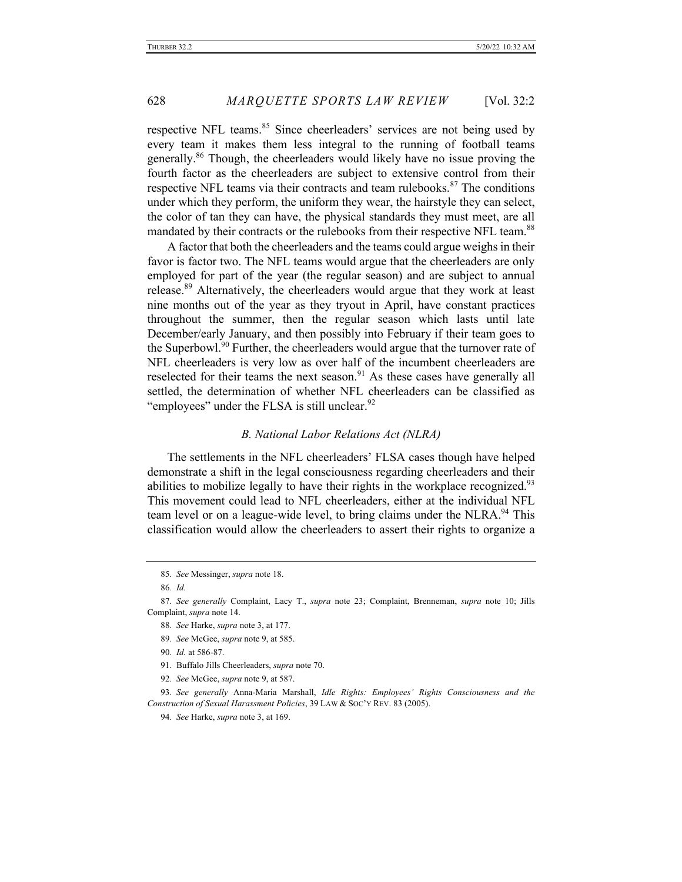respective NFL teams.<sup>85</sup> Since cheerleaders' services are not being used by every team it makes them less integral to the running of football teams generally.<sup>86</sup> Though, the cheerleaders would likely have no issue proving the fourth factor as the cheerleaders are subject to extensive control from their respective NFL teams via their contracts and team rulebooks.<sup>87</sup> The conditions under which they perform, the uniform they wear, the hairstyle they can select, the color of tan they can have, the physical standards they must meet, are all mandated by their contracts or the rulebooks from their respective NFL team.<sup>88</sup>

A factor that both the cheerleaders and the teams could argue weighs in their favor is factor two. The NFL teams would argue that the cheerleaders are only employed for part of the year (the regular season) and are subject to annual release.<sup>89</sup> Alternatively, the cheerleaders would argue that they work at least nine months out of the year as they tryout in April, have constant practices throughout the summer, then the regular season which lasts until late December/early January, and then possibly into February if their team goes to the Superbowl.<sup>90</sup> Further, the cheerleaders would argue that the turnover rate of NFL cheerleaders is very low as over half of the incumbent cheerleaders are reselected for their teams the next season. $91$  As these cases have generally all settled, the determination of whether NFL cheerleaders can be classified as "employees" under the FLSA is still unclear.  $92$ 

## *B. National Labor Relations Act (NLRA)*

The settlements in the NFL cheerleaders' FLSA cases though have helped demonstrate a shift in the legal consciousness regarding cheerleaders and their abilities to mobilize legally to have their rights in the workplace recognized.<sup>93</sup> This movement could lead to NFL cheerleaders, either at the individual NFL team level or on a league-wide level, to bring claims under the NLRA.<sup>94</sup> This classification would allow the cheerleaders to assert their rights to organize a

- 89*. See* McGee, *supra* note 9, at 585.
- 90*. Id.* at 586-87.
- 91. Buffalo Jills Cheerleaders, *supra* note 70.
- 92*. See* McGee, *supra* note 9, at 587.

<sup>85</sup>*. See* Messinger, *supra* note 18.

<sup>86</sup>*. Id.*

<sup>87</sup>*. See generally* Complaint, Lacy T., *supra* note 23; Complaint, Brenneman, *supra* note 10; Jills Complaint, *supra* note 14.

<sup>88</sup>*. See* Harke, *supra* note 3, at 177.

<sup>93</sup>*. See generally* Anna-Maria Marshall, *Idle Rights: Employees' Rights Consciousness and the Construction of Sexual Harassment Policies*, 39 LAW & SOC'Y REV. 83 (2005).

<sup>94</sup>*. See* Harke, *supra* note 3, at 169.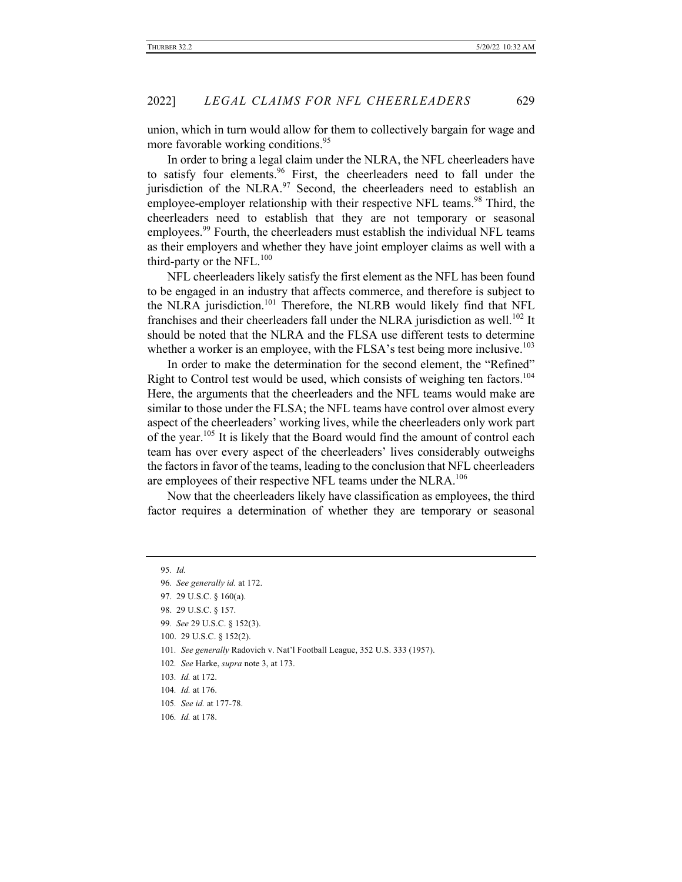union, which in turn would allow for them to collectively bargain for wage and more favorable working conditions.<sup>95</sup>

In order to bring a legal claim under the NLRA, the NFL cheerleaders have to satisfy four elements.<sup>96</sup> First, the cheerleaders need to fall under the jurisdiction of the NLRA. $97$  Second, the cheerleaders need to establish an employee-employer relationship with their respective NFL teams.<sup>98</sup> Third, the cheerleaders need to establish that they are not temporary or seasonal employees.<sup>99</sup> Fourth, the cheerleaders must establish the individual NFL teams as their employers and whether they have joint employer claims as well with a third-party or the NFL. $100$ 

NFL cheerleaders likely satisfy the first element as the NFL has been found to be engaged in an industry that affects commerce, and therefore is subject to the NLRA jurisdiction.<sup>101</sup> Therefore, the NLRB would likely find that NFL franchises and their cheerleaders fall under the NLRA jurisdiction as well.<sup>102</sup> It should be noted that the NLRA and the FLSA use different tests to determine whether a worker is an employee, with the FLSA's test being more inclusive.<sup>103</sup>

In order to make the determination for the second element, the "Refined" Right to Control test would be used, which consists of weighing ten factors.<sup>104</sup> Here, the arguments that the cheerleaders and the NFL teams would make are similar to those under the FLSA; the NFL teams have control over almost every aspect of the cheerleaders' working lives, while the cheerleaders only work part of the year.<sup>105</sup> It is likely that the Board would find the amount of control each team has over every aspect of the cheerleaders' lives considerably outweighs the factors in favor of the teams, leading to the conclusion that NFL cheerleaders are employees of their respective NFL teams under the NLRA.<sup>106</sup>

Now that the cheerleaders likely have classification as employees, the third factor requires a determination of whether they are temporary or seasonal

<sup>95</sup>*. Id.*

<sup>96</sup>*. See generally id.* at 172.

<sup>97.</sup> 29 U.S.C. § 160(a).

<sup>98.</sup> 29 U.S.C. § 157.

<sup>99</sup>*. See* 29 U.S.C. § 152(3).

<sup>100.</sup> 29 U.S.C. § 152(2).

<sup>101</sup>*. See generally* Radovich v. Nat'l Football League, 352 U.S. 333 (1957).

<sup>102</sup>*. See* Harke, *supra* note 3, at 173.

<sup>103</sup>*. Id.* at 172.

<sup>104</sup>*. Id.* at 176.

<sup>105</sup>*. See id.* at 177-78.

<sup>106</sup>*. Id.* at 178.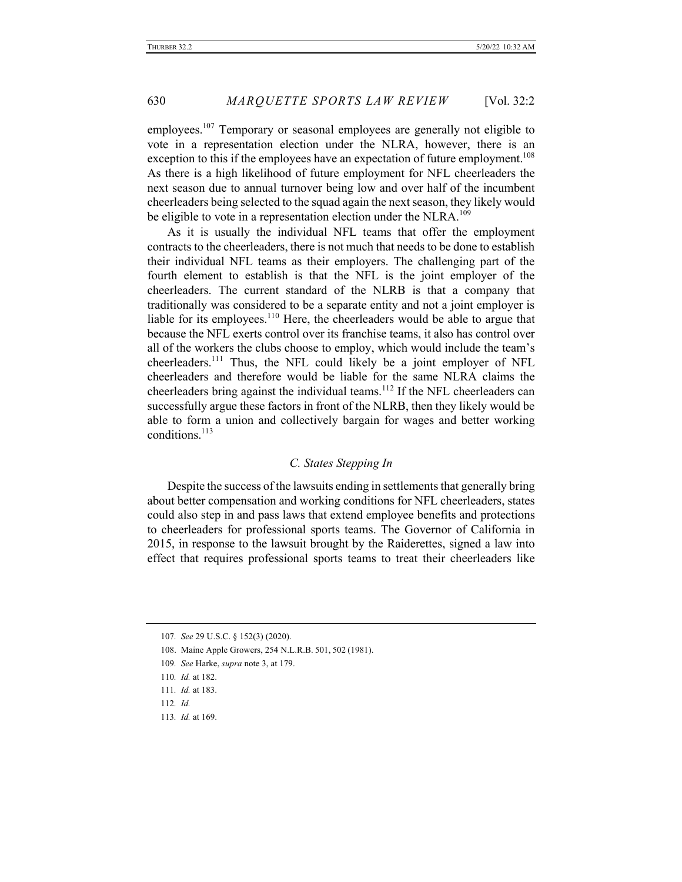employees.<sup>107</sup> Temporary or seasonal employees are generally not eligible to vote in a representation election under the NLRA, however, there is an exception to this if the employees have an expectation of future employment.<sup>108</sup> As there is a high likelihood of future employment for NFL cheerleaders the next season due to annual turnover being low and over half of the incumbent cheerleaders being selected to the squad again the next season, they likely would be eligible to vote in a representation election under the NLRA.<sup>109</sup>

As it is usually the individual NFL teams that offer the employment contracts to the cheerleaders, there is not much that needs to be done to establish their individual NFL teams as their employers. The challenging part of the fourth element to establish is that the NFL is the joint employer of the cheerleaders. The current standard of the NLRB is that a company that traditionally was considered to be a separate entity and not a joint employer is liable for its employees.<sup>110</sup> Here, the cheerleaders would be able to argue that because the NFL exerts control over its franchise teams, it also has control over all of the workers the clubs choose to employ, which would include the team's cheerleaders.<sup>111</sup> Thus, the NFL could likely be a joint employer of NFL cheerleaders and therefore would be liable for the same NLRA claims the cheerleaders bring against the individual teams.<sup>112</sup> If the NFL cheerleaders can successfully argue these factors in front of the NLRB, then they likely would be able to form a union and collectively bargain for wages and better working conditions.<sup>113</sup>

## *C. States Stepping In*

Despite the success of the lawsuits ending in settlements that generally bring about better compensation and working conditions for NFL cheerleaders, states could also step in and pass laws that extend employee benefits and protections to cheerleaders for professional sports teams. The Governor of California in 2015, in response to the lawsuit brought by the Raiderettes, signed a law into effect that requires professional sports teams to treat their cheerleaders like

<sup>107</sup>*. See* 29 U.S.C. § 152(3) (2020).

<sup>108.</sup> Maine Apple Growers, 254 N.L.R.B. 501, 502 (1981).

<sup>109</sup>*. See* Harke, *supra* note 3, at 179.

<sup>110</sup>*. Id.* at 182.

<sup>111</sup>*. Id.* at 183.

<sup>112</sup>*. Id.*

<sup>113</sup>*. Id.* at 169.